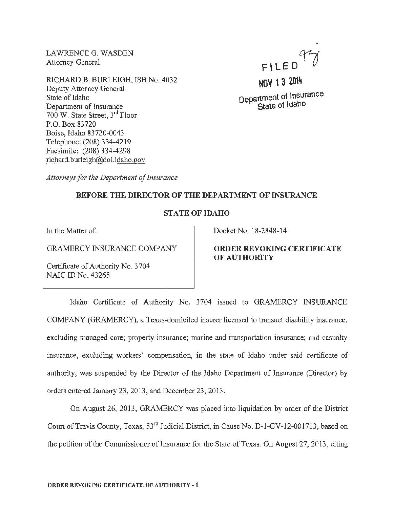LAWRENCE G. WASDEN Attorney General

RICHARD B. BURLEIGH, ISB No. 4032 Deputy Attorney General State of Idaho Department of Insurance 700 W. State Street, 3rd Floor P.O. Box 83720 Boise, Idaho 83720-0043 Telephone: (208) 334-4219 Facsimile: (208) 334-4298 richard. burleigh@doi.idaho .gov

FILED

NOV 13 2014 Department of Insurance State of Idaho

*Attorneys for the Department of Insurance* 

### BEFORE THE DIRECTOR OF THE DEPARTMENT OF INSURANCE

## STATE OF IDAHO

In the Matter of:

GRAMERCY INSURANCE COMPANY

Certificate of Authority No. 3 704 NAIC ID No. 43265

Docket No. 18-2848-14

# ORDER REVOKING CERTIFICATE OF AUTHORITY

Idaho Certificate of Authority No. 3704 issued to GRAMERCY INSURANCE COMPANY (GRAMERCY), a Texas-domiciled insurer licensed to transact disability insurance, excluding managed care; property insurance; marine and transportation insurance; and casualty insurance, excluding workers' compensation, in the state of Idaho under said certificate of authority, was suspended by the Director of the Idaho Department of Insurance (Director) by orders entered January 23, 2013, and December 23, 2013.

On August 26, 2013, GRAMERCY was placed into liquidation by order of the District Court ofTravis County, Texas, 53rd Judicial District, in Cause No. D-1-GV-12-001713, based on the petition of the Commissioner of Insurance for the State of Texas. On August 27, 2013, citing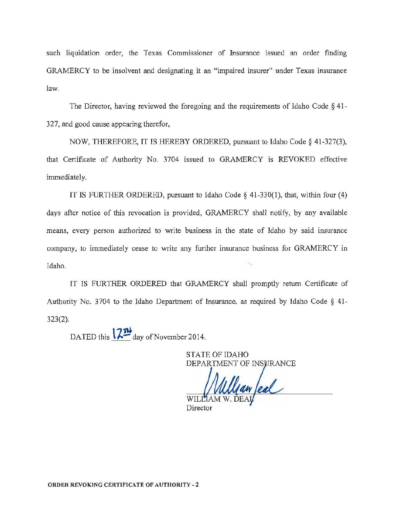such liquidation order, the Texas Commissioner of Insurance issued an order finding GRAMERCY to be insolvent and designating it an "impaired insurer" under Texas insurance law.

The Director, having reviewed the foregoing and the requirements of Idaho Code  $\S$  41-327, and good cause appearing therefor,

NOW, THEREFORE, IT IS HEREBY ORDERED, pursuant to Idaho Code§ 41-327(3), that Certificate of Authority No. 3704 issued to GRAMERCY is REVOKED effective immediately.

IT IS FURTHER ORDERED, pursuant to Idaho Code§ 41-330(1), that, within four (4) days after notice of this revocation is provided, GRAMERCY shall notify, by any available means, every person authorized to write business in the state of Idaho by said insurance company, to immediately cease to write any further insurance business for GRAMERCY in Idaho.

IT IS FURTHER ORDERED that GRAMERCY shall promptly return Certificate of Authority No. 3704 to the Idaho Department of Insurance, as required by Idaho Code § 41- 323(2).

DATED this  $\sqrt{2\pi}$  day of November 2014.

STATE OF IDAHO DEPARTMENT OF INSURANCE

an feal

Director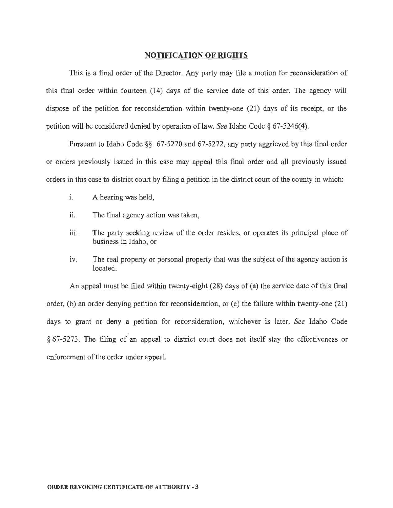### NOTIFICATION OF RIGHTS

This is a final order of the Director. Any party may file a motion for reconsideration of this final order within fourteen (14) days of the service date of this order. The agency will dispose of the petition for reconsideration within twenty-one (21) days of its receipt, or the petition will be considered denied by operation oflaw. *See* Idaho Code§ 67-5246(4).

Pursuant to Idaho Code§§ 67-5270 and 67-5272, any party aggrieved by this final order or orders previously issued in *this* case may appeal this final order and all previously issued orders in this case to district court by filing a petition in the district court of the county in which:

- i. A hearing was held,
- ii. The final agency action was taken,
- iii. The party seeking review of the order resides, or operates its principal place of business in Idaho, or
- iv. The real property or personal property that was the subject of the agency action is located.

An appeal must be filed within twenty-eight (28) days of (a) the service date of this final order, (b) an order denying petition for reconsideration, or (c) the failure within twenty-one (21) days to grant or deny a petition for reconsideration, whichever is later. *See* Idaho Code § 67-5273. The filing of an appeal to district court does not itself stay the effectiveness or enforcement of the order under appeal.